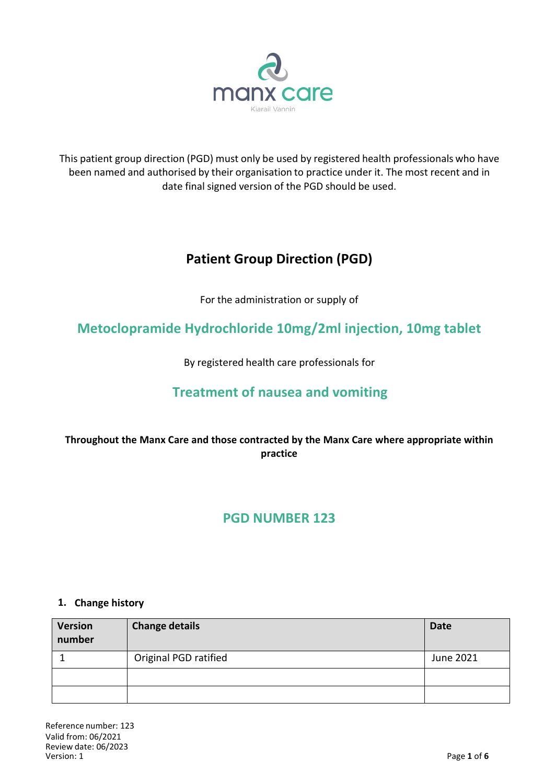

This patient group direction (PGD) must only be used by registered health professionals who have been named and authorised by their organisation to practice under it. The most recent and in date final signed version of the PGD should be used.

# **Patient Group Direction (PGD)**

For the administration or supply of

**Metoclopramide Hydrochloride 10mg/2ml injection, 10mg tablet**

By registered health care professionals for

## **Treatment of nausea and vomiting**

## **Throughout the Manx Care and those contracted by the Manx Care where appropriate within practice**

## **PGD NUMBER 123**

#### **1. Change history**

| <b>Version</b><br>number | <b>Change details</b> | <b>Date</b> |
|--------------------------|-----------------------|-------------|
|                          | Original PGD ratified | June 2021   |
|                          |                       |             |
|                          |                       |             |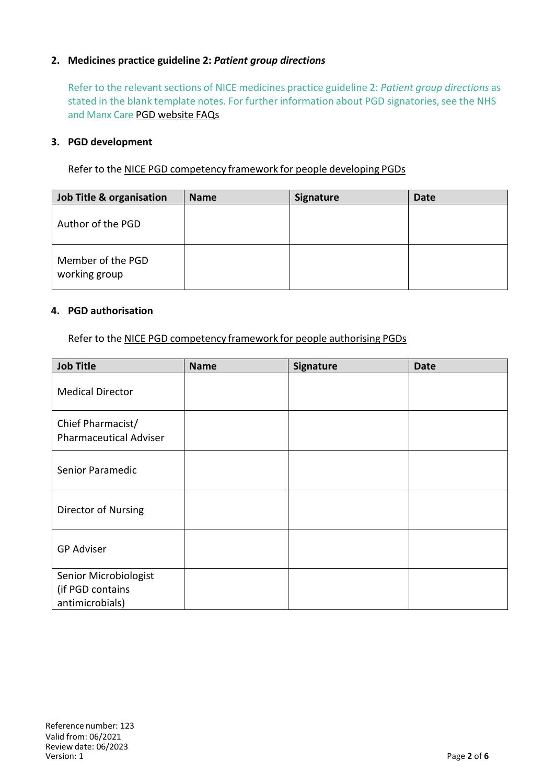### **2. Medicines practice guideline 2:** *Patient group directions*

Refer to the relevant sections of NICE medicines practice guideline 2: *Patient group directions* as stated in the blank template notes. For further information about PGD signatories, see the NHS and Manx Care PGD website FAQs

#### **3. PGD development**

Refer to the NICE PGD competency framework for people developing PGDs

| Job Title & organisation           | <b>Name</b> | <b>Signature</b> | <b>Date</b> |
|------------------------------------|-------------|------------------|-------------|
| Author of the PGD                  |             |                  |             |
| Member of the PGD<br>working group |             |                  |             |

#### **4. PGD authorisation**

Refer to the NICE PGD competency framework for people authorising PGDs

| <b>Job Title</b>                                             | <b>Name</b> | Signature | <b>Date</b> |
|--------------------------------------------------------------|-------------|-----------|-------------|
| <b>Medical Director</b>                                      |             |           |             |
| Chief Pharmacist/<br><b>Pharmaceutical Adviser</b>           |             |           |             |
| Senior Paramedic                                             |             |           |             |
| Director of Nursing                                          |             |           |             |
| <b>GP Adviser</b>                                            |             |           |             |
| Senior Microbiologist<br>(if PGD contains<br>antimicrobials) |             |           |             |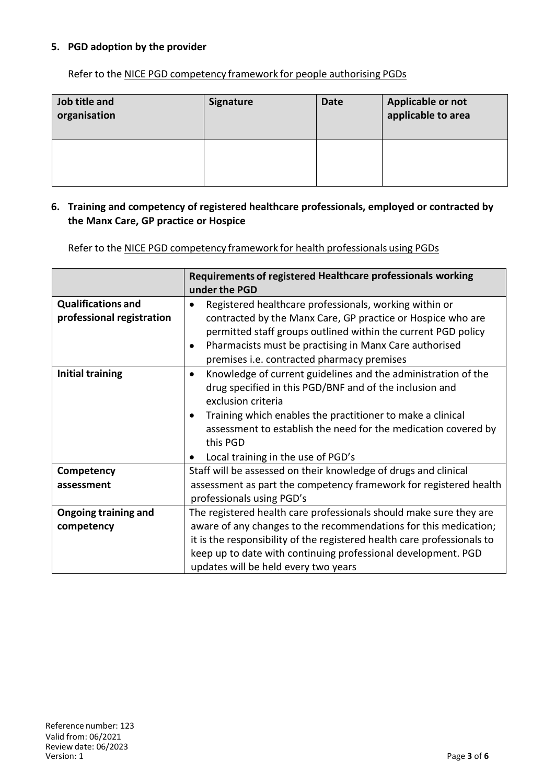### **5. PGD adoption by the provider**

Refer to the NICE PGD competency framework for people authorising PGDs

| Job title and<br>organisation | <b>Signature</b> | <b>Date</b> | Applicable or not<br>applicable to area |
|-------------------------------|------------------|-------------|-----------------------------------------|
|                               |                  |             |                                         |

#### **6. Training and competency of registered healthcare professionals, employed or contracted by the Manx Care, GP practice or Hospice**

Refer to the NICE PGD competency framework for health professionals using PGDs

|                                                        | Requirements of registered Healthcare professionals working<br>under the PGD                                                                                                                                                                                                                                                                  |
|--------------------------------------------------------|-----------------------------------------------------------------------------------------------------------------------------------------------------------------------------------------------------------------------------------------------------------------------------------------------------------------------------------------------|
| <b>Qualifications and</b><br>professional registration | Registered healthcare professionals, working within or<br>contracted by the Manx Care, GP practice or Hospice who are<br>permitted staff groups outlined within the current PGD policy<br>Pharmacists must be practising in Manx Care authorised<br>premises i.e. contracted pharmacy premises                                                |
| <b>Initial training</b>                                | Knowledge of current guidelines and the administration of the<br>$\bullet$<br>drug specified in this PGD/BNF and of the inclusion and<br>exclusion criteria<br>Training which enables the practitioner to make a clinical<br>assessment to establish the need for the medication covered by<br>this PGD<br>Local training in the use of PGD's |
| Competency                                             | Staff will be assessed on their knowledge of drugs and clinical                                                                                                                                                                                                                                                                               |
| assessment                                             | assessment as part the competency framework for registered health<br>professionals using PGD's                                                                                                                                                                                                                                                |
| <b>Ongoing training and</b>                            | The registered health care professionals should make sure they are                                                                                                                                                                                                                                                                            |
| competency                                             | aware of any changes to the recommendations for this medication;                                                                                                                                                                                                                                                                              |
|                                                        | it is the responsibility of the registered health care professionals to                                                                                                                                                                                                                                                                       |
|                                                        | keep up to date with continuing professional development. PGD                                                                                                                                                                                                                                                                                 |
|                                                        | updates will be held every two years                                                                                                                                                                                                                                                                                                          |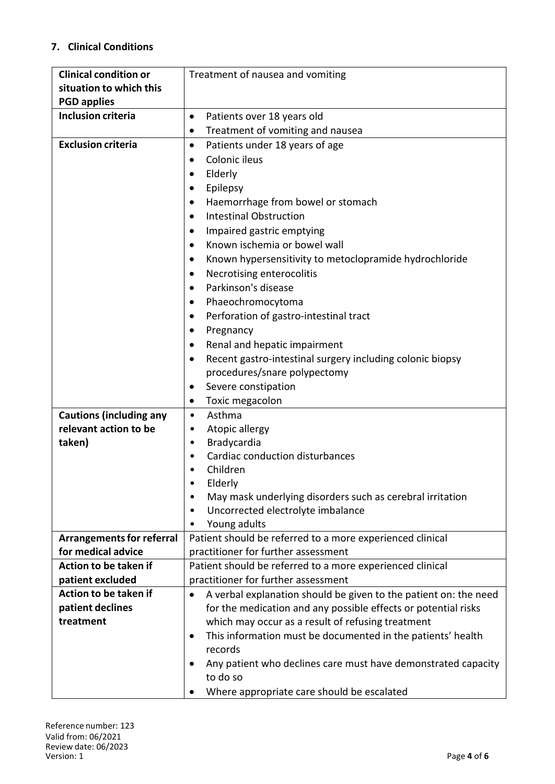## **7. Clinical Conditions**

| <b>Clinical condition or</b>     | Treatment of nausea and vomiting                                      |
|----------------------------------|-----------------------------------------------------------------------|
| situation to which this          |                                                                       |
| <b>PGD applies</b>               |                                                                       |
| <b>Inclusion criteria</b>        | Patients over 18 years old<br>٠                                       |
|                                  | Treatment of vomiting and nausea<br>٠                                 |
| <b>Exclusion criteria</b>        | Patients under 18 years of age<br>$\bullet$                           |
|                                  | Colonic ileus<br>$\bullet$                                            |
|                                  | Elderly<br>$\bullet$                                                  |
|                                  | Epilepsy<br>$\bullet$                                                 |
|                                  | Haemorrhage from bowel or stomach<br>$\bullet$                        |
|                                  | <b>Intestinal Obstruction</b><br>$\bullet$                            |
|                                  | Impaired gastric emptying                                             |
|                                  | Known ischemia or bowel wall<br>٠                                     |
|                                  | Known hypersensitivity to metoclopramide hydrochloride<br>٠           |
|                                  | Necrotising enterocolitis<br>$\bullet$                                |
|                                  | Parkinson's disease<br>$\bullet$                                      |
|                                  | Phaeochromocytoma                                                     |
|                                  | Perforation of gastro-intestinal tract<br>$\bullet$                   |
|                                  | Pregnancy<br>$\bullet$                                                |
|                                  | Renal and hepatic impairment                                          |
|                                  | Recent gastro-intestinal surgery including colonic biopsy             |
|                                  | procedures/snare polypectomy                                          |
|                                  | Severe constipation                                                   |
|                                  | Toxic megacolon<br>٠                                                  |
| <b>Cautions (including any</b>   | Asthma<br>٠                                                           |
| relevant action to be            | Atopic allergy<br>٠                                                   |
| taken)                           | Bradycardia<br>$\bullet$                                              |
|                                  | Cardiac conduction disturbances<br>٠                                  |
|                                  | Children                                                              |
|                                  | Elderly                                                               |
|                                  | May mask underlying disorders such as cerebral irritation<br>٠        |
|                                  | Uncorrected electrolyte imbalance<br>٠                                |
|                                  | Young adults                                                          |
| <b>Arrangements for referral</b> | Patient should be referred to a more experienced clinical             |
| for medical advice               | practitioner for further assessment                                   |
| Action to be taken if            | Patient should be referred to a more experienced clinical             |
| patient excluded                 | practitioner for further assessment                                   |
| Action to be taken if            | A verbal explanation should be given to the patient on: the need<br>٠ |
| patient declines                 | for the medication and any possible effects or potential risks        |
| treatment                        | which may occur as a result of refusing treatment                     |
|                                  | This information must be documented in the patients' health<br>٠      |
|                                  | records                                                               |
|                                  | Any patient who declines care must have demonstrated capacity<br>٠    |
|                                  | to do so                                                              |
|                                  | Where appropriate care should be escalated                            |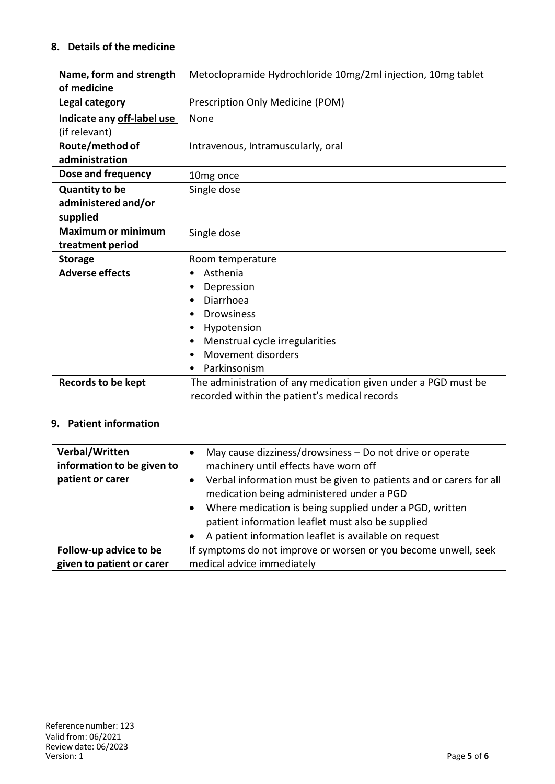### **8. Details of the medicine**

| Name, form and strength    | Metoclopramide Hydrochloride 10mg/2ml injection, 10mg tablet                                                    |  |
|----------------------------|-----------------------------------------------------------------------------------------------------------------|--|
| of medicine                |                                                                                                                 |  |
| Legal category             | Prescription Only Medicine (POM)                                                                                |  |
| Indicate any off-label use | None                                                                                                            |  |
| (if relevant)              |                                                                                                                 |  |
| Route/method of            | Intravenous, Intramuscularly, oral                                                                              |  |
| administration             |                                                                                                                 |  |
| Dose and frequency         | 10mg once                                                                                                       |  |
| <b>Quantity to be</b>      | Single dose                                                                                                     |  |
| administered and/or        |                                                                                                                 |  |
| supplied                   |                                                                                                                 |  |
| <b>Maximum or minimum</b>  | Single dose                                                                                                     |  |
| treatment period           |                                                                                                                 |  |
| <b>Storage</b>             | Room temperature                                                                                                |  |
| <b>Adverse effects</b>     | Asthenia<br>٠                                                                                                   |  |
|                            | Depression<br>٠                                                                                                 |  |
|                            | Diarrhoea<br>$\bullet$                                                                                          |  |
|                            | <b>Drowsiness</b><br>٠                                                                                          |  |
|                            | Hypotension<br>٠                                                                                                |  |
|                            | Menstrual cycle irregularities                                                                                  |  |
|                            | Movement disorders                                                                                              |  |
|                            | Parkinsonism                                                                                                    |  |
| <b>Records to be kept</b>  | The administration of any medication given under a PGD must be<br>recorded within the patient's medical records |  |

## **9. Patient information**

| Verbal/Written<br>information to be given to | May cause dizziness/drowsiness - Do not drive or operate<br>machinery until effects have worn off                                                                     |  |
|----------------------------------------------|-----------------------------------------------------------------------------------------------------------------------------------------------------------------------|--|
| patient or carer                             | Verbal information must be given to patients and or carers for all<br>medication being administered under a PGD                                                       |  |
|                                              | Where medication is being supplied under a PGD, written<br>patient information leaflet must also be supplied<br>A patient information leaflet is available on request |  |
| Follow-up advice to be                       | If symptoms do not improve or worsen or you become unwell, seek                                                                                                       |  |
|                                              |                                                                                                                                                                       |  |
| given to patient or carer                    | medical advice immediately                                                                                                                                            |  |